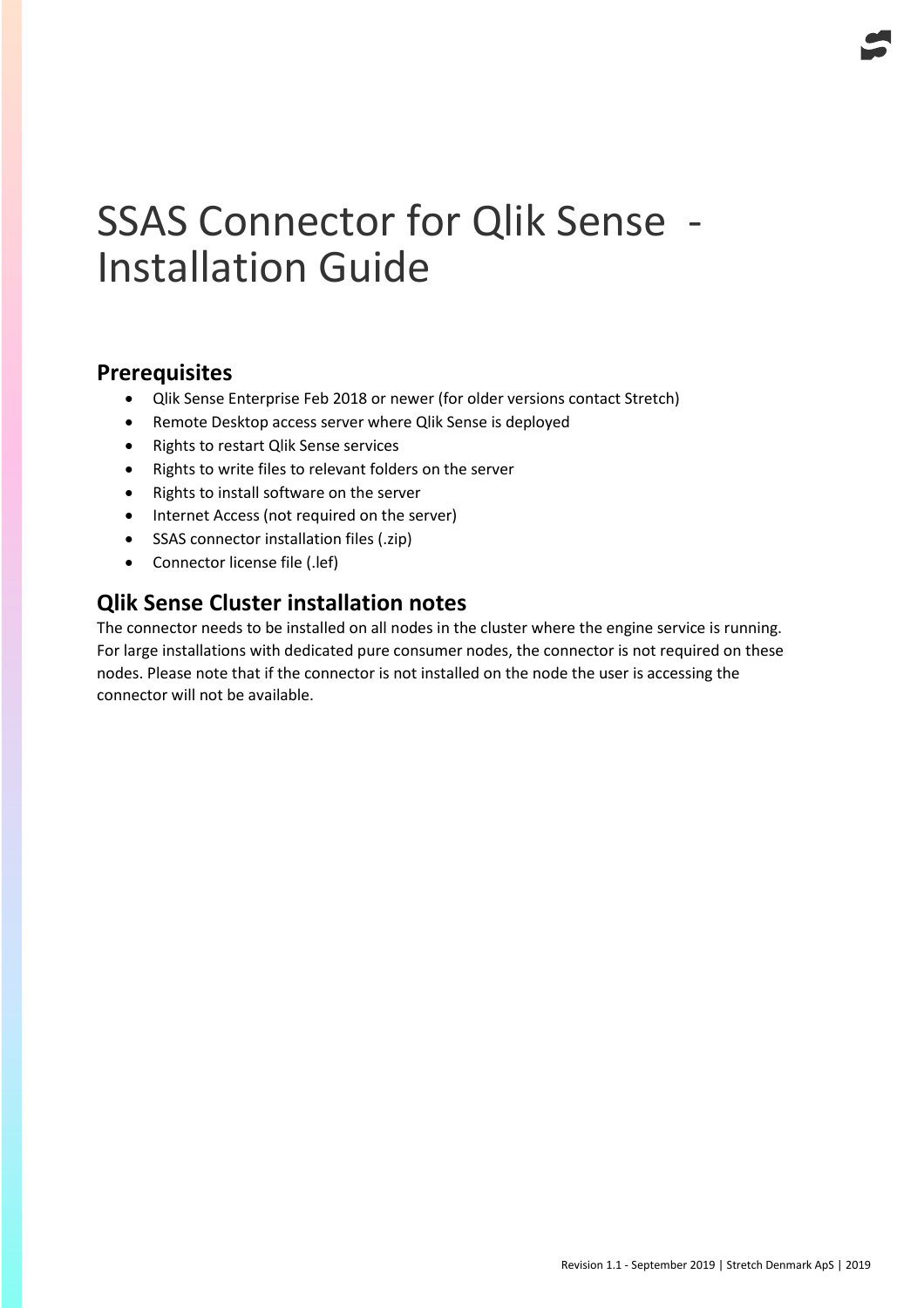# SSAS Connector for Qlik Sense - Installation Guide

## **Prerequisites**

- Qlik Sense Enterprise Feb 2018 or newer (for older versions contact Stretch)
- Remote Desktop access server where Qlik Sense is deployed
- Rights to restart Qlik Sense services
- Rights to write files to relevant folders on the server
- Rights to install software on the server
- Internet Access (not required on the server)
- SSAS connector installation files (.zip)
- Connector license file (.lef)

## **Qlik Sense Cluster installation notes**

The connector needs to be installed on all nodes in the cluster where the engine service is running. For large installations with dedicated pure consumer nodes, the connector is not required on these nodes. Please note that if the connector is not installed on the node the user is accessing the connector will not be available.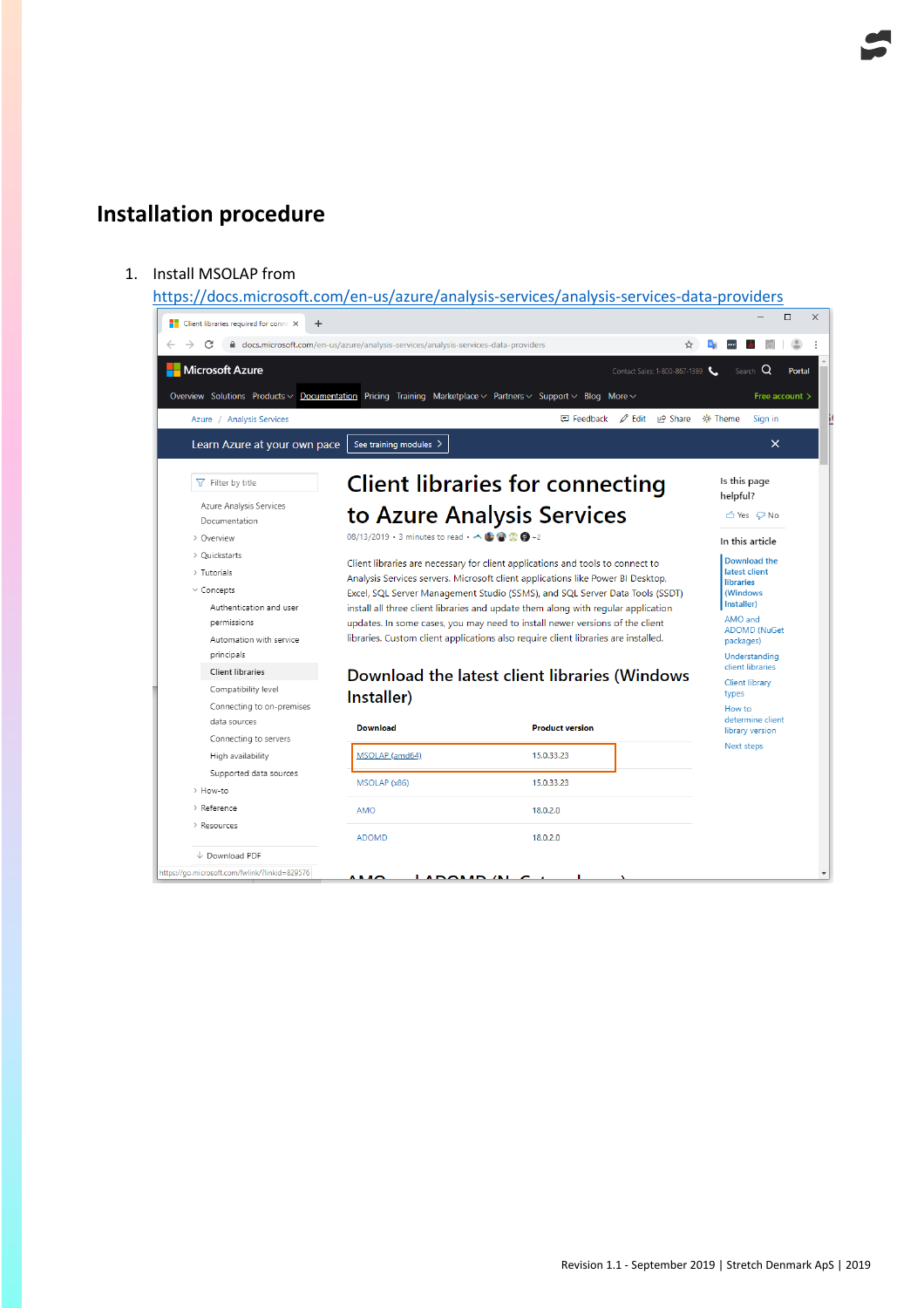# **Installation procedure**

#### 1. Install MSOLAP from

<https://docs.microsoft.com/en-us/azure/analysis-services/analysis-services-data-providers>

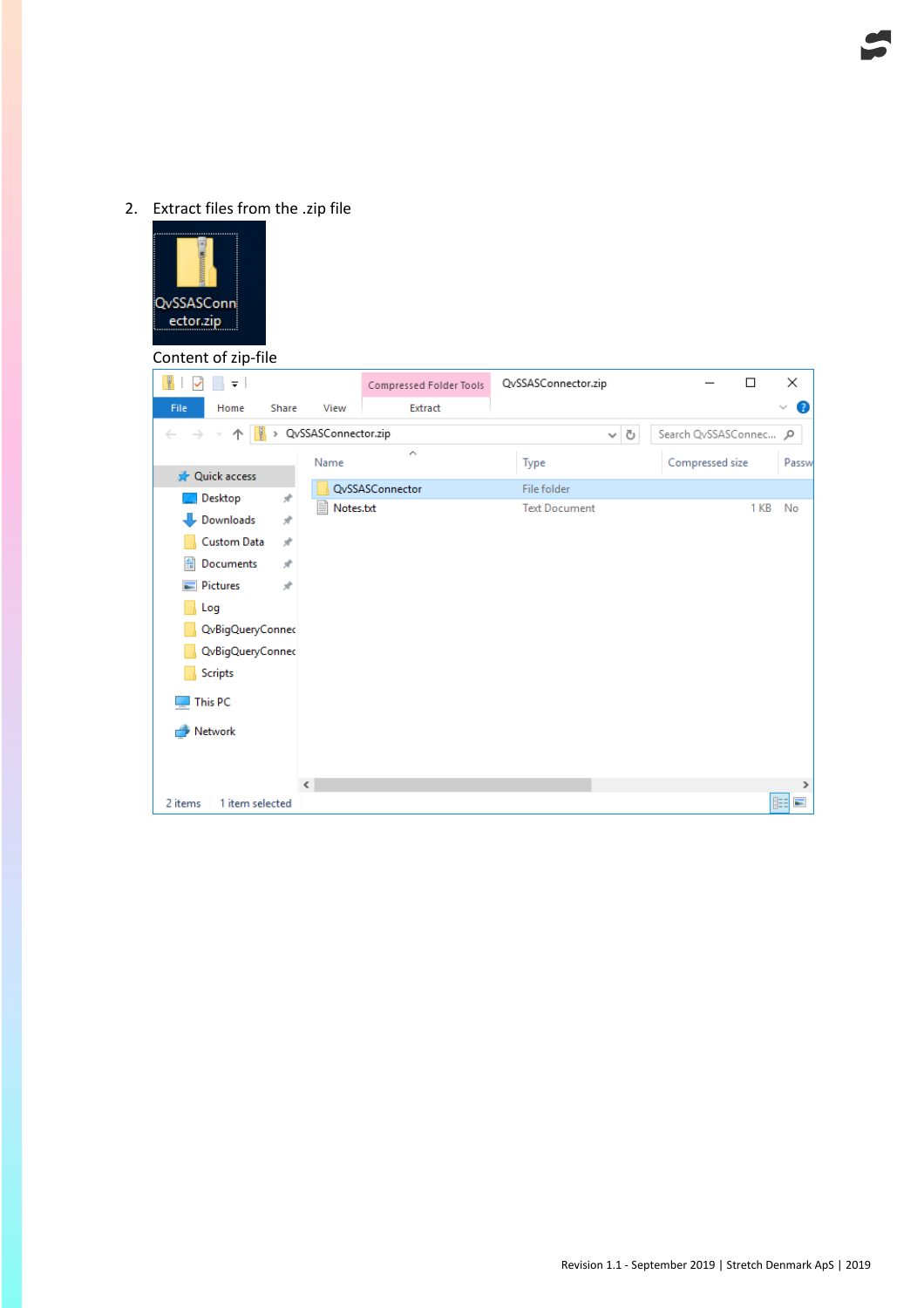## 2. Extract files from the .zip file



#### Content of zip-file

| ų,<br>∓∣                   |                      | Compressed Folder Tools | QvSSASConnector.zip                 | $\Box$          | ×                 |
|----------------------------|----------------------|-------------------------|-------------------------------------|-----------------|-------------------|
| File<br>Home               | View<br>Share        | Extract                 |                                     |                 | Ø<br>$\checkmark$ |
| QvSSASConnector.zip        |                      | Ō<br>v                  | Search QvSSASConnec p               |                 |                   |
|                            | Name                 | $\hat{\phantom{a}}$     | Type                                | Compressed size | Passw             |
| <b>A</b> Quick access      |                      |                         |                                     |                 |                   |
| Desktop                    | À.<br>≣<br>Notes.txt | QvSSASConnector         | File folder<br><b>Text Document</b> | 1 KB            | No                |
| Downloads                  | À                    |                         |                                     |                 |                   |
| Custom Data                | À                    |                         |                                     |                 |                   |
| 葟<br>Documents             | À                    |                         |                                     |                 |                   |
| $\blacksquare$ Pictures    | À                    |                         |                                     |                 |                   |
| Log                        |                      |                         |                                     |                 |                   |
| QvBigQueryConnec           |                      |                         |                                     |                 |                   |
| QvBigQueryConnec           |                      |                         |                                     |                 |                   |
| <b>Scripts</b>             |                      |                         |                                     |                 |                   |
| This PC                    |                      |                         |                                     |                 |                   |
| Network                    |                      |                         |                                     |                 |                   |
|                            |                      |                         |                                     |                 |                   |
|                            |                      |                         |                                     |                 |                   |
|                            | $\langle$            |                         |                                     |                 | $\,$              |
| 2 items<br>1 item selected |                      |                         |                                     |                 | 胆<br>$\equiv$     |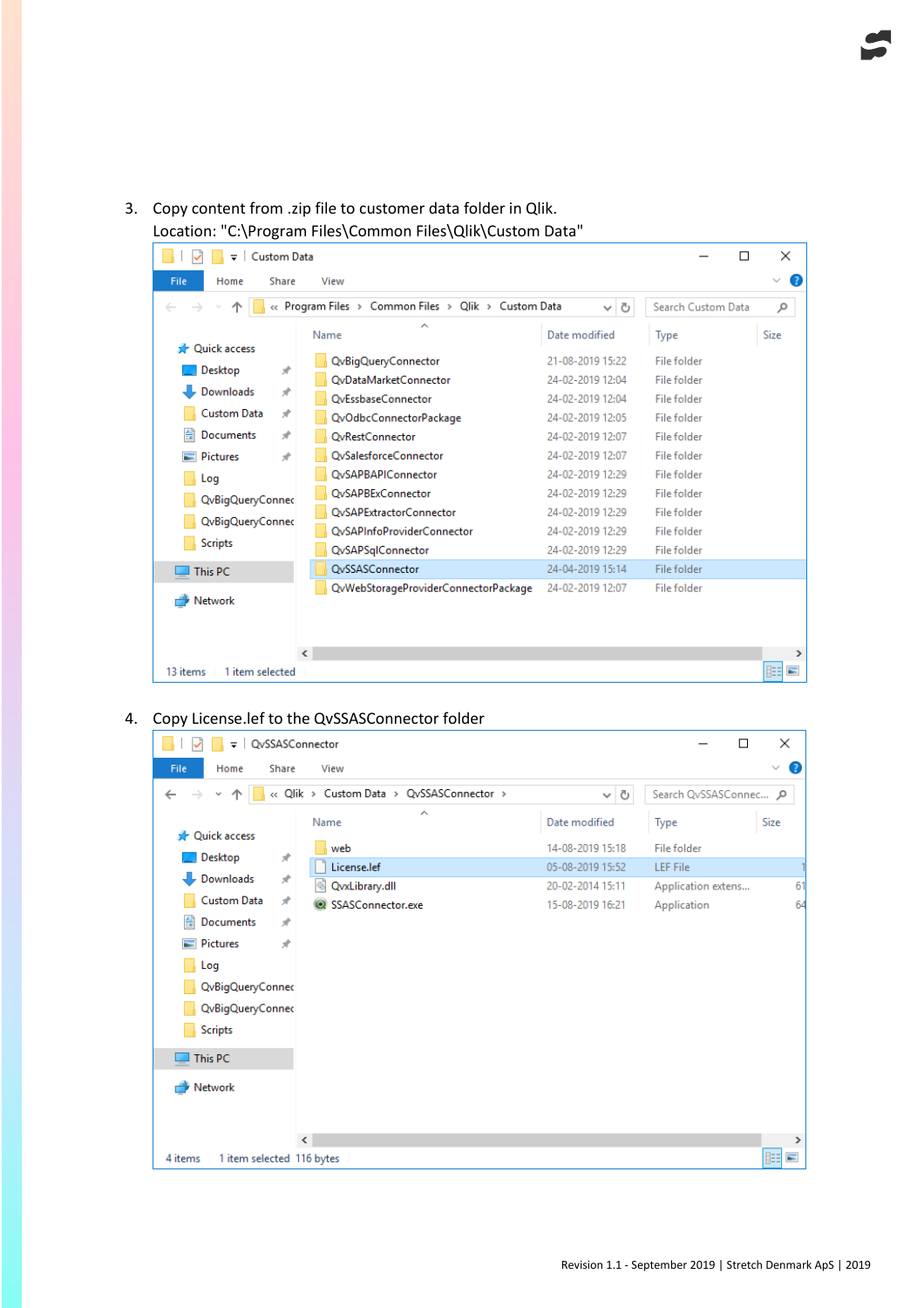3. Copy content from .zip file to customer data folder in Qlik. Location: "C:\Program Files\Common Files\Qlik\Custom Data"

| Custom Data<br>П<br>$\overline{\phantom{a}}$                                                   |   |                                      |                  | ×           |                   |
|------------------------------------------------------------------------------------------------|---|--------------------------------------|------------------|-------------|-------------------|
| File<br>Home<br>Share<br>View                                                                  |   |                                      |                  |             | Q<br>$\checkmark$ |
| « Program Files > Common Files > Qlik > Custom Data<br>Search Custom Data<br>Ō<br>$\checkmark$ |   |                                      |                  | مر          |                   |
| <b>Duick access</b>                                                                            |   | ∼<br>Name                            | Date modified    | Type        | Size              |
| st.                                                                                            |   | QvBigQueryConnector                  | 21-08-2019 15:22 | File folder |                   |
| Desktop                                                                                        |   | QvDataMarketConnector                | 24-02-2019 12:04 | File folder |                   |
| Downloads<br>À                                                                                 |   | OvEssbaseConnector                   | 24-02-2019 12:04 | File folder |                   |
| <b>Custom Data</b><br>À                                                                        |   | QvOdbcConnectorPackage               | 24-02-2019 12:05 | File folder |                   |
| 兽<br>Documents<br>À                                                                            |   | <b>OvRestConnector</b>               | 24-02-2019 12:07 | File folder |                   |
| À<br><b>Pictures</b>                                                                           |   | <b>OvSalesforceConnector</b>         | 24-02-2019 12:07 | File folder |                   |
| Log                                                                                            |   | <b>QvSAPBAPIConnector</b>            | 24-02-2019 12:29 | File folder |                   |
| QvBigQueryConnec                                                                               |   | <b>OvSAPBExConnector</b>             | 24-02-2019 12:29 | File folder |                   |
|                                                                                                |   | <b>OvSAPExtractorConnector</b>       | 24-02-2019 12:29 | File folder |                   |
| QvBigQueryConnec                                                                               |   | <b>OvSAPInfoProviderConnector</b>    | 24-02-2019 12:29 | File folder |                   |
| <b>Scripts</b>                                                                                 |   | QvSAPSqlConnector                    | 24-02-2019 12:29 | File folder |                   |
| This PC                                                                                        |   | OvSSASConnector                      | 24-04-2019 15:14 | File folder |                   |
|                                                                                                |   | QvWebStorageProviderConnectorPackage | 24-02-2019 12:07 | File folder |                   |
| Network                                                                                        |   |                                      |                  |             |                   |
|                                                                                                |   |                                      |                  |             |                   |
|                                                                                                | ∢ |                                      |                  |             | ⋗                 |
| 駐車<br>13 items<br>1 item selected                                                              |   |                                      |                  | $\equiv$    |                   |

### 4. Copy License.lef to the QvSSASConnector folder

| ≂ I                   | QvSSASConnector                           |                   | ×<br>□                  |
|-----------------------|-------------------------------------------|-------------------|-------------------------|
| File<br>Home          | Share<br>View                             |                   | Ø<br>$\checkmark$       |
| $\leftarrow$<br>٧     | << Qlik > Custom Data > QvSSASConnector > | Ō<br>$\checkmark$ | Search QvSSASConnec p   |
| <b>A</b> Quick access | ́<br>Name                                 | Date modified     | Size<br>Type            |
|                       | web<br>$\mathcal{R}$                      | 14-08-2019 15:18  | File folder             |
| Desktop               | License.lef                               | 05-08-2019 15:52  | <b>LEF File</b>         |
| Downloads             | $\mathcal{R}$<br>QvxLibrary.dll<br>⊛      | 20-02-2014 15:11  | Application extens<br>6 |
| <b>Custom Data</b>    | À<br>SSASConnector.exe                    | 15-08-2019 16:21  | 64<br>Application       |
| 兽<br>Documents        | $\pi$                                     |                   |                         |
| <b>Pictures</b>       | À                                         |                   |                         |
| Log                   |                                           |                   |                         |
| QvBigQueryConnec      |                                           |                   |                         |
| QvBigQueryConnec      |                                           |                   |                         |
| <b>Scripts</b>        |                                           |                   |                         |
| This PC               |                                           |                   |                         |
| Network               |                                           |                   |                         |
|                       |                                           |                   |                         |
|                       |                                           |                   |                         |
|                       | $\langle$                                 |                   | $\rightarrow$           |
| 4 items               | 1 item selected 116 bytes                 |                   | 眲<br>$\blacksquare$     |